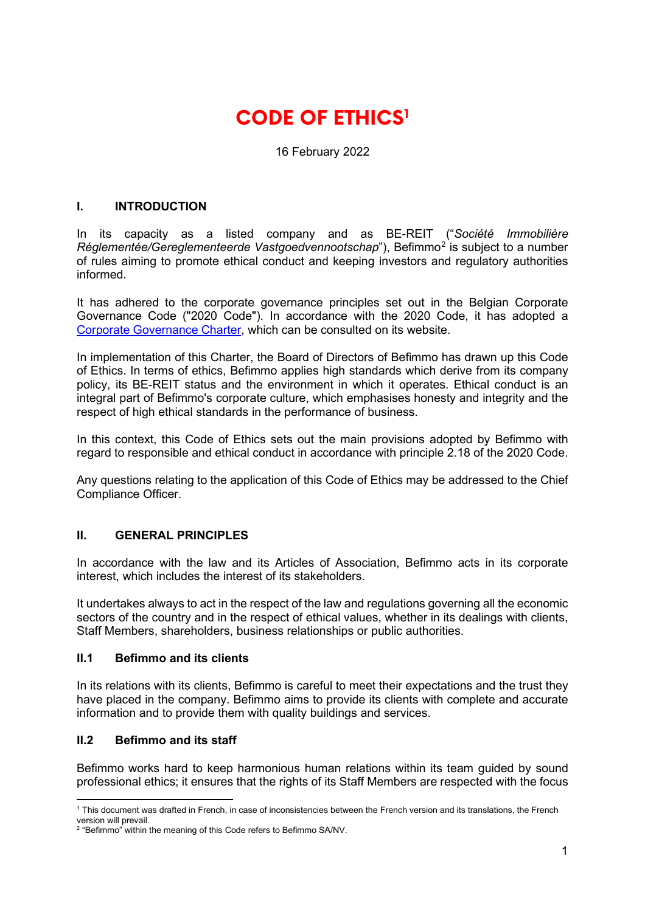# **CODE OF ETHICS[1](#page-0-0)**

16 February 2022

## **I. INTRODUCTION**

In its capacity as a listed company and as BE-REIT ("*Société Immobilière Réglementée/Gereglementeerde Vastgoedvennootschap*"), Befimmo<sup>[2](#page-0-1)</sup> is subject to a number of rules aiming to promote ethical conduct and keeping investors and regulatory authorities informed.

It has adhered to the corporate governance principles set out in the Belgian Corporate Governance Code ("2020 Code"). In accordance with the 2020 Code, it has adopted a [Corporate Governance Charter,](https://www.befimmo.be/sites/default/files/gbl_quicklinks/2022.02.16_charte_uk_final.pdf) which can be consulted on its website.

In implementation of this Charter, the Board of Directors of Befimmo has drawn up this Code of Ethics. In terms of ethics, Befimmo applies high standards which derive from its company policy, its BE-REIT status and the environment in which it operates. Ethical conduct is an integral part of Befimmo's corporate culture, which emphasises honesty and integrity and the respect of high ethical standards in the performance of business.

In this context, this Code of Ethics sets out the main provisions adopted by Befimmo with regard to responsible and ethical conduct in accordance with principle 2.18 of the 2020 Code.

Any questions relating to the application of this Code of Ethics may be addressed to the Chief Compliance Officer.

## **II. GENERAL PRINCIPLES**

In accordance with the law and its Articles of Association, Befimmo acts in its corporate interest, which includes the interest of its stakeholders.

It undertakes always to act in the respect of the law and regulations governing all the economic sectors of the country and in the respect of ethical values, whether in its dealings with clients, Staff Members, shareholders, business relationships or public authorities.

#### **II.1 Befimmo and its clients**

In its relations with its clients, Befimmo is careful to meet their expectations and the trust they have placed in the company. Befimmo aims to provide its clients with complete and accurate information and to provide them with quality buildings and services.

## **II.2 Befimmo and its staff**

Befimmo works hard to keep harmonious human relations within its team guided by sound professional ethics; it ensures that the rights of its Staff Members are respected with the focus

<span id="page-0-0"></span><sup>1</sup> This document was drafted in French, in case of inconsistencies between the French version and its translations, the French version will prevail.

<span id="page-0-1"></span><sup>&</sup>lt;sup>2</sup> "Befimmo" within the meaning of this Code refers to Befimmo SA/NV.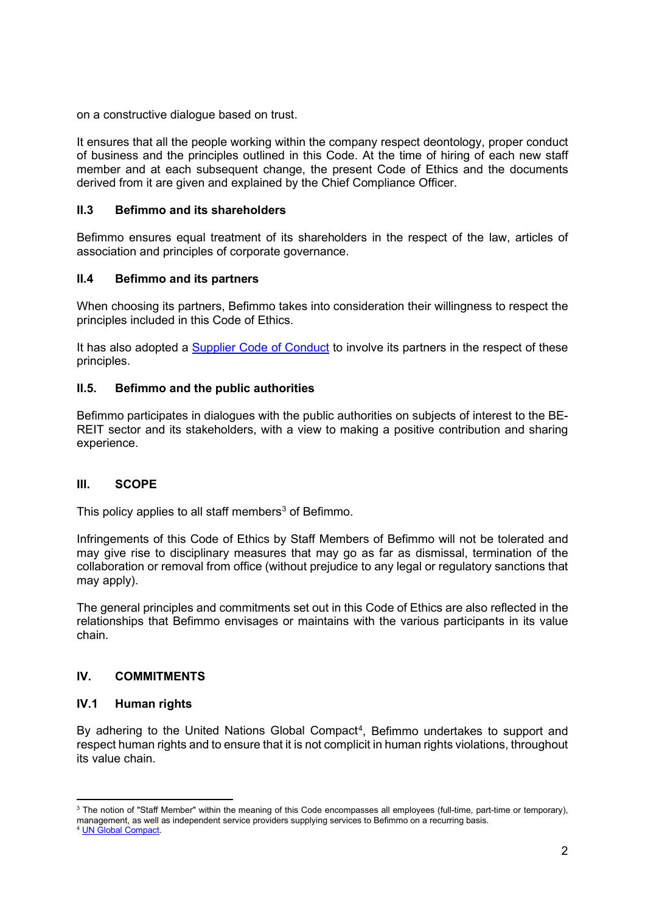on a constructive dialogue based on trust.

It ensures that all the people working within the company respect deontology, proper conduct of business and the principles outlined in this Code. At the time of hiring of each new staff member and at each subsequent change, the present Code of Ethics and the documents derived from it are given and explained by the Chief Compliance Officer.

#### **II.3 Befimmo and its shareholders**

Befimmo ensures equal treatment of its shareholders in the respect of the law, articles of association and principles of corporate governance.

#### **II.4 Befimmo and its partners**

When choosing its partners, Befimmo takes into consideration their willingness to respect the principles included in this Code of Ethics.

It has also adopted a **Supplier Code of Conduct** to involve its partners in the respect of these principles.

### **II.5. Befimmo and the public authorities**

Befimmo participates in dialogues with the public authorities on subjects of interest to the BE-REIT sector and its stakeholders, with a view to making a positive contribution and sharing experience.

#### **III. SCOPE**

This policy applies to all staff members<sup>[3](#page-1-0)</sup> of Befimmo.

Infringements of this Code of Ethics by Staff Members of Befimmo will not be tolerated and may give rise to disciplinary measures that may go as far as dismissal, termination of the collaboration or removal from office (without prejudice to any legal or regulatory sanctions that may apply).

The general principles and commitments set out in this Code of Ethics are also reflected in the relationships that Befimmo envisages or maintains with the various participants in its value chain.

# **IV. COMMITMENTS**

## **IV.1 Human rights**

By adhering to the United Nations Global Compact<sup>[4](#page-1-1)</sup>, Befimmo undertakes to support and respect human rights and to ensure that it is not complicit in human rights violations, throughout its value chain.

<span id="page-1-0"></span><sup>&</sup>lt;sup>3</sup> The notion of "Staff Member" within the meaning of this Code encompasses all employees (full-time, part-time or temporary), management, as well as independent service providers supplying services to Befimmo on a recurring basis.

<span id="page-1-1"></span><sup>4</sup> [UN Global Compact.](https://www.unglobalcompact.org/)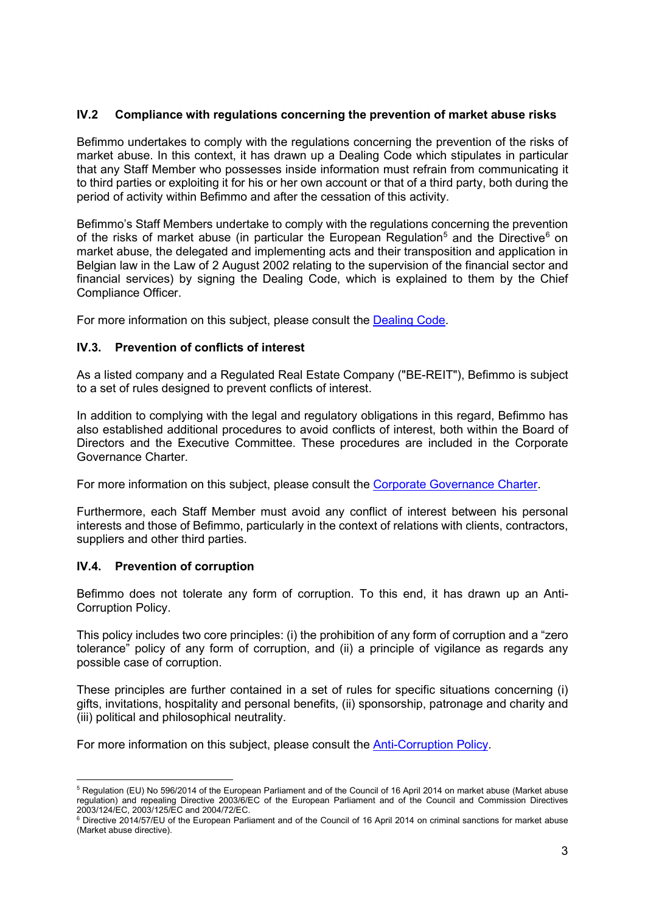# **IV.2 Compliance with regulations concerning the prevention of market abuse risks**

Befimmo undertakes to comply with the regulations concerning the prevention of the risks of market abuse. In this context, it has drawn up a Dealing Code which stipulates in particular that any Staff Member who possesses inside information must refrain from communicating it to third parties or exploiting it for his or her own account or that of a third party, both during the period of activity within Befimmo and after the cessation of this activity.

Befimmo's Staff Members undertake to comply with the regulations concerning the prevention of the risks of market abuse (in particular the European Regulation<sup>[5](#page-2-0)</sup> and the Directive<sup>6</sup> on market abuse, the delegated and implementing acts and their transposition and application in Belgian law in the Law of 2 August 2002 relating to the supervision of the financial sector and financial services) by signing the Dealing Code, which is explained to them by the Chief Compliance Officer.

For more information on this subject, please consult the [Dealing Code.](https://www.befimmo.be/sites/default/files/gbl_quicklinks/2022.02.16_dealing_code_befimmo_en_sans_annexes_final.pdf)

## **IV.3. Prevention of conflicts of interest**

As a listed company and a Regulated Real Estate Company ("BE-REIT"), Befimmo is subject to a set of rules designed to prevent conflicts of interest.

In addition to complying with the legal and regulatory obligations in this regard, Befimmo has also established additional procedures to avoid conflicts of interest, both within the Board of Directors and the Executive Committee. These procedures are included in the Corporate Governance Charter.

For more information on this subject, please consult the [Corporate Governance Charter.](https://www.befimmo.be/sites/default/files/gbl_quicklinks/2022.02.16_charte_uk_final.pdf)

Furthermore, each Staff Member must avoid any conflict of interest between his personal interests and those of Befimmo, particularly in the context of relations with clients, contractors, suppliers and other third parties.

## **IV.4. Prevention of corruption**

Befimmo does not tolerate any form of corruption. To this end, it has drawn up an Anti-Corruption Policy.

This policy includes two core principles: (i) the prohibition of any form of corruption and a "zero tolerance" policy of any form of corruption, and (ii) a principle of vigilance as regards any possible case of corruption.

These principles are further contained in a set of rules for specific situations concerning (i) gifts, invitations, hospitality and personal benefits, (ii) sponsorship, patronage and charity and (iii) political and philosophical neutrality.

For more information on this subject, please consult the [Anti-Corruption Policy.](https://www.befimmo.be/sites/default/files/gbl_quicklinks/2022.02.16_politique_de_lutte_contre_la_corruption_-_eng_final.pdf)

<span id="page-2-0"></span><sup>5</sup> Regulation (EU) No 596/2014 of the European Parliament and of the Council of 16 April 2014 on market abuse (Market abuse regulation) and repealing Directive 2003/6/EC of the European Parliament and of the Council and Commission Directives 2003/124/EC, 2003/125/EC and 2004/72/EC.

<span id="page-2-1"></span><sup>6</sup> Directive 2014/57/EU of the European Parliament and of the Council of 16 April 2014 on criminal sanctions for market abuse (Market abuse directive).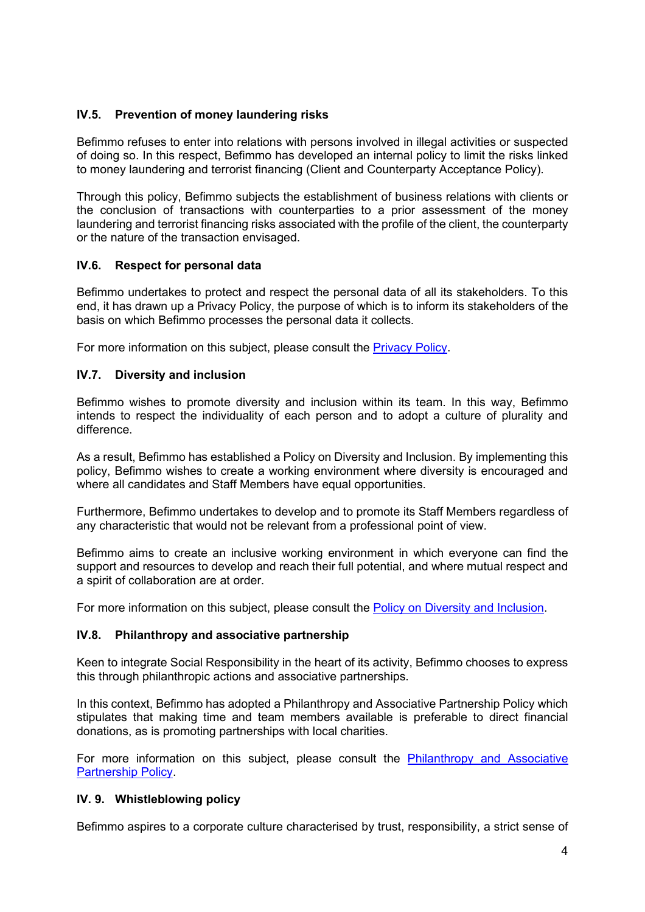# **IV.5. Prevention of money laundering risks**

Befimmo refuses to enter into relations with persons involved in illegal activities or suspected of doing so. In this respect, Befimmo has developed an internal policy to limit the risks linked to money laundering and terrorist financing (Client and Counterparty Acceptance Policy).

Through this policy, Befimmo subjects the establishment of business relations with clients or the conclusion of transactions with counterparties to a prior assessment of the money laundering and terrorist financing risks associated with the profile of the client, the counterparty or the nature of the transaction envisaged.

## **IV.6. Respect for personal data**

Befimmo undertakes to protect and respect the personal data of all its stakeholders. To this end, it has drawn up a Privacy Policy, the purpose of which is to inform its stakeholders of the basis on which Befimmo processes the personal data it collects.

For more information on this subject, please consult the [Privacy Policy.](https://www.befimmo.be/sites/default/files/privacy_policy_befimmo.pdf)

## **IV.7. Diversity and inclusion**

Befimmo wishes to promote diversity and inclusion within its team. In this way, Befimmo intends to respect the individuality of each person and to adopt a culture of plurality and difference.

As a result, Befimmo has established a Policy on Diversity and Inclusion. By implementing this policy, Befimmo wishes to create a working environment where diversity is encouraged and where all candidates and Staff Members have equal opportunities.

Furthermore, Befimmo undertakes to develop and to promote its Staff Members regardless of any characteristic that would not be relevant from a professional point of view.

Befimmo aims to create an inclusive working environment in which everyone can find the support and resources to develop and reach their full potential, and where mutual respect and a spirit of collaboration are at order.

For more information on this subject, please consult the Policy on [Diversity and Inclusion.](https://www.befimmo.be/sites/default/files/gbl_quicklinks/2021.02.16_politique_de_diversite_inclusion_eng_-_final.pdf)

## **IV.8. Philanthropy and associative partnership**

Keen to integrate Social Responsibility in the heart of its activity, Befimmo chooses to express this through philanthropic actions and associative partnerships.

In this context, Befimmo has adopted a Philanthropy and Associative Partnership Policy which stipulates that making time and team members available is preferable to direct financial donations, as is promoting partnerships with local charities.

For more information on this subject, please consult the [Philanthropy and Associative](https://www.befimmo.be/sites/default/files/gbl_quicklinks/2021.03.04_politique_de_philanthropie_et_partenariat_associatif_eng_final.pdf)  [Partnership Policy.](https://www.befimmo.be/sites/default/files/gbl_quicklinks/2021.03.04_politique_de_philanthropie_et_partenariat_associatif_eng_final.pdf)

## **IV. 9. Whistleblowing policy**

Befimmo aspires to a corporate culture characterised by trust, responsibility, a strict sense of